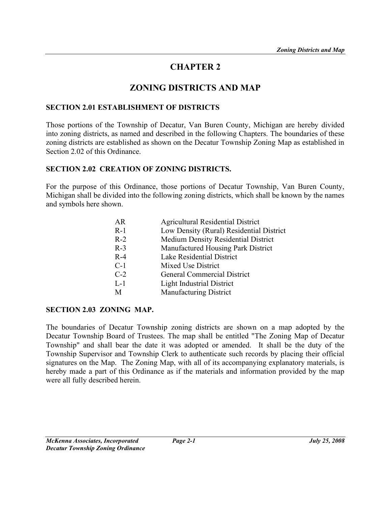# CHAPTER 2

# ZONING DISTRICTS AND MAP

#### SECTION 2.01 ESTABLISHMENT OF DISTRICTS

Those portions of the Township of Decatur, Van Buren County, Michigan are hereby divided into zoning districts, as named and described in the following Chapters. The boundaries of these zoning districts are established as shown on the Decatur Township Zoning Map as established in Section 2.02 of this Ordinance.

#### SECTION 2.02 CREATION OF ZONING DISTRICTS.

For the purpose of this Ordinance, those portions of Decatur Township, Van Buren County, Michigan shall be divided into the following zoning districts, which shall be known by the names and symbols here shown.

| AR    | <b>Agricultural Residential District</b> |
|-------|------------------------------------------|
| $R-1$ | Low Density (Rural) Residential District |
| $R-2$ | Medium Density Residential District      |
| $R-3$ | Manufactured Housing Park District       |
| $R-4$ | Lake Residential District                |
| $C-1$ | Mixed Use District                       |
| $C-2$ | <b>General Commercial District</b>       |
| $L-1$ | <b>Light Industrial District</b>         |
| М     | <b>Manufacturing District</b>            |
|       |                                          |

## SECTION 2.03 ZONING MAP.

The boundaries of Decatur Township zoning districts are shown on a map adopted by the Decatur Township Board of Trustees. The map shall be entitled "The Zoning Map of Decatur Township" and shall bear the date it was adopted or amended. It shall be the duty of the Township Supervisor and Township Clerk to authenticate such records by placing their official signatures on the Map. The Zoning Map, with all of its accompanying explanatory materials, is hereby made a part of this Ordinance as if the materials and information provided by the map were all fully described herein.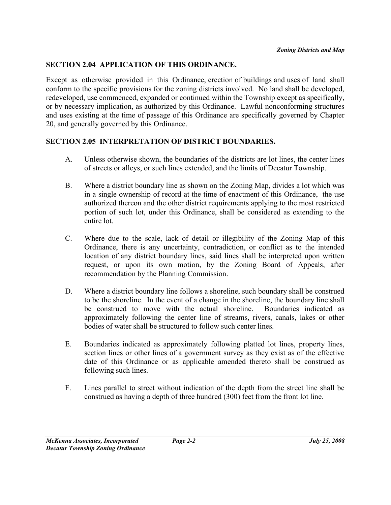# SECTION 2.04 APPLICATION OF THIS ORDINANCE.

Except as otherwise provided in this Ordinance, erection of buildings and uses of land shall conform to the specific provisions for the zoning districts involved. No land shall be developed, redeveloped, use commenced, expanded or continued within the Township except as specifically, or by necessary implication, as authorized by this Ordinance. Lawful nonconforming structures and uses existing at the time of passage of this Ordinance are specifically governed by Chapter 20, and generally governed by this Ordinance.

#### SECTION 2.05 INTERPRETATION OF DISTRICT BOUNDARIES.

- A. Unless otherwise shown, the boundaries of the districts are lot lines, the center lines of streets or alleys, or such lines extended, and the limits of Decatur Township.
- B. Where a district boundary line as shown on the Zoning Map, divides a lot which was in a single ownership of record at the time of enactment of this Ordinance, the use authorized thereon and the other district requirements applying to the most restricted portion of such lot, under this Ordinance, shall be considered as extending to the entire lot.
- C. Where due to the scale, lack of detail or illegibility of the Zoning Map of this Ordinance, there is any uncertainty, contradiction, or conflict as to the intended location of any district boundary lines, said lines shall be interpreted upon written request, or upon its own motion, by the Zoning Board of Appeals, after recommendation by the Planning Commission.
- D. Where a district boundary line follows a shoreline, such boundary shall be construed to be the shoreline. In the event of a change in the shoreline, the boundary line shall be construed to move with the actual shoreline. Boundaries indicated as approximately following the center line of streams, rivers, canals, lakes or other bodies of water shall be structured to follow such center lines.
- E. Boundaries indicated as approximately following platted lot lines, property lines, section lines or other lines of a government survey as they exist as of the effective date of this Ordinance or as applicable amended thereto shall be construed as following such lines.
- F. Lines parallel to street without indication of the depth from the street line shall be construed as having a depth of three hundred (300) feet from the front lot line.